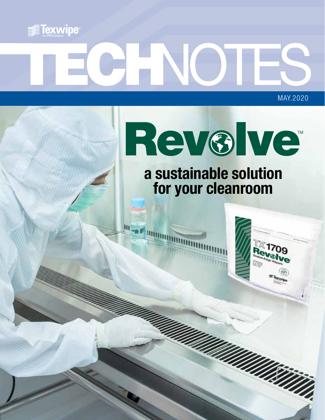

# MAY.2020

 $\mathbf{m}$ 

Rev®lve

**a sustainable solution for your cleanroom**



<u>garding mandality</u>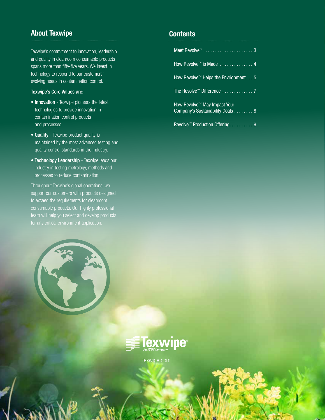#### **About Texwipe Contents**

Texwipe's commitment to innovation, leadership and quality in cleanroom consumable products spans more than fifty-five years. We invest in technology to respond to our customers' evolving needs in contamination control.

#### Texwipe's Core Values are:

- Innovation Texwipe pioneers the latest technologies to provide innovation in contamination control products and processes.
- Quality Texwipe product quality is maintained by the most advanced testing and quality control standards in the industry.
- Technology Leadership Texwipe leads our industry in testing metrology, methods and processes to reduce contamination.

Throughout Texwipe's global operations, we support our customers with products designed to exceed the requirements for cleanroom consumable products. Our highly professional team will help you select and develop products



 $\mathbf{V}$   $\mathbf{V}$ 

| How Revolve™ is Made 4                                                       |
|------------------------------------------------------------------------------|
| How Revolve <sup><math>m</math></sup> Helps the Envrionment 5                |
| The Revolve <sup>™</sup> Difference 7                                        |
| How Revolve <sup>™</sup> May Impact Your<br>Company's Sustainability Goals 8 |
| Revolve <sup>™</sup> Production Offering. 9                                  |



[texwipe.com](http://www.texwipe.com)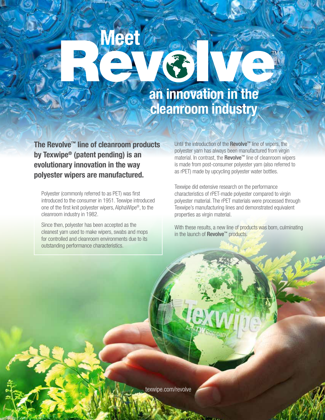#### **an innovation in the cleanroom industry**

**The Revolve™ line of cleanroom products by Texwipe® (patent pending) is an evolutionary innovation in the way polyester wipers are manufactured.** 

**Meet**

Polyester (commonly referred to as PET) was first introduced to the consumer in 1951. Texwipe introduced one of the first knit polyester wipers, AlphaWipe®, to the cleanroom industry in 1982.

Since then, polyester has been accepted as the cleanest yarn used to make wipers, swabs and mops for controlled and cleanroom environments due to its outstanding performance characteristics.

Until the introduction of the Revolve<sup>™</sup> line of wipers, the polyester yarn has always been manufactured from virgin material. In contrast, the Revolve™ line of cleanroom wipers is made from post-consumer polyester yarn (also referred to as rPET) made by upcycling polyester water bottles.

Texwipe did extensive research on the performance characteristics of rPET-made polyester compared to virgin polyester material. The rPET materials were processed through Texwipe's manufacturing lines and demonstrated equivalent properties as virgin material.

With these results, a new line of products was born, culminating in the launch of Revolve™ products.

www.texwipe.com | 300 Miles

[texwipe.com/revolve](http://www.texwipe.com/revolve)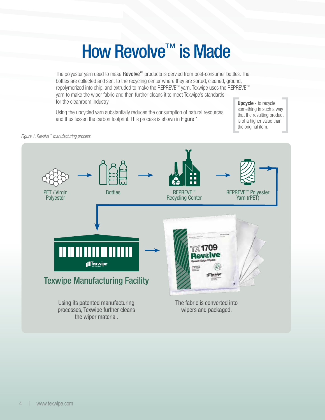### How Revolve™ is Made

<span id="page-3-0"></span>The polyester yarn used to make **Revolve™** products is dervied from post-consumer bottles. The bottles are collected and sent to the recycling center where they are sorted, cleaned, ground, repolymerized into chip, and extruded to make the REPREVE™ yarn. Texwipe uses the REPREVE™ yarn to make the wiper fabric and then further cleans it to meet Texwipe's standards for the cleanroom industry.

Using the upcycled yarn substantially reduces the consumption of natural resources and thus lessen the carbon footprint. This process is shown in Figure 1.

**Upcycle** - to recycle something in such a way that the resulting product is of a higher value than the original item.

*Figure 1. Revolve™ manufacturing process.*

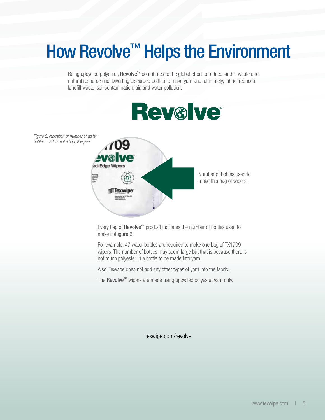### How Revolve<sup>™</sup> Helps the Environment

Being upcycled polyester, Revolve<sup>™</sup> contributes to the global effort to reduce landfill waste and natural resource use. Diverting discarded bottles to make yarn and, ultimately, fabric, reduces landfill waste, soil contamination, air, and water pollution.



*Figure 2. Indication of number of water bottles used to make bag of wipers*



Every bag of Revolve<sup>™</sup> product indicates the number of bottles used to make it (Figure 2).

For example, 47 water bottles are required to make one bag of TX1709 wipers. The number of bottles may seem large but that is because there is not much polyester in a bottle to be made into yarn.

Also, Texwipe does not add any other types of yarn into the fabric.

The Revolve™ wipers are made using upcycled polyester yarn only.

[texwipe.com/revolve](http://www.texwipe.com/revolve)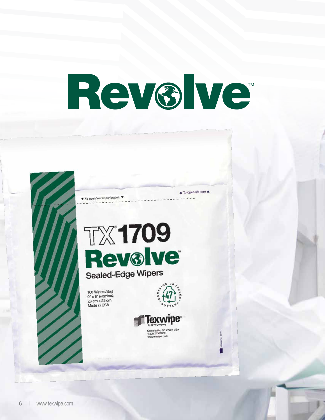## <span id="page-5-0"></span>Rev®lve





100 Wipers/Bag  $9" \times 9"$  (nominal) 23 cm x 23 cm Made in USA



▲ To open lift here ▲



6 | [www.texwipe.com](http://www.texwipe.com)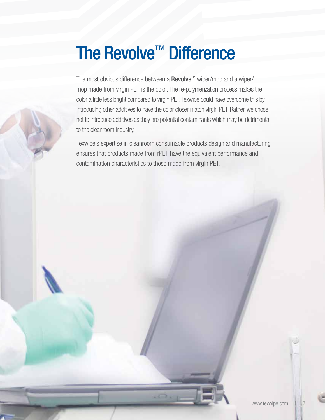### The Revolve<sup>™</sup> Difference

The most obvious difference between a Revolve™ wiper/mop and a wiper/ mop made from virgin PET is the color. The re-polymerization process makes the color a little less bright compared to virgin PET. Texwipe could have overcome this by introducing other additives to have the color closer match virgin PET. Rather, we chose not to introduce additives as they are potential contaminants which may be detrimental to the cleanroom industry.

Texwipe's expertise in cleanroom consumable products design and manufacturing ensures that products made from rPET have the equivalent performance and contamination characteristics to those made from virgin PET.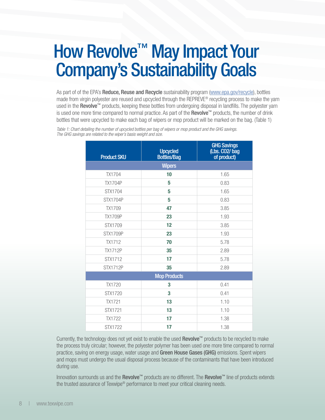#### <span id="page-7-0"></span>How Revolve<sup>™</sup> May Impact Your Company's Sustainability Goals

As part of of the EPA's Reduce, Reuse and Recycle sustainability program [\(www.epa.gov/recycle](http://www.epa.gov/recycle)), bottles made from virgin polyester are reused and upcycled through the REPREVE® recycling process to make the yarn used in the Revolve™ products, keeping these bottles from undergoing disposal in landfills. The polyester yarn is used one more time compared to normal practice. As part of the **Revolve™** products, the number of drink bottles that were upcycled to make each bag of wipers or mop product will be marked on the bag. (Table 1)

*Table 1: Chart detailing the number of upcycled bottles per bag of wipers or mop product and the GHG savings. The GHG savings are related to the wiper's basis weight and size.* 

| <b>Product SKU</b>  | <b>Upcycled</b><br><b>Bottles/Bag</b> | <b>GHG Savings</b><br>(Lbs. CO <sub>2</sub> /bag<br>of product) |  |
|---------------------|---------------------------------------|-----------------------------------------------------------------|--|
| <b>Wipers</b>       |                                       |                                                                 |  |
| TX1704              | 10                                    | 1.65                                                            |  |
| <b>TX1704P</b>      | 5                                     | 0.83                                                            |  |
| STX1704             | 5                                     | 1.65                                                            |  |
| <b>STX1704P</b>     | 5                                     | 0.83                                                            |  |
| <b>TX1709</b>       | 47                                    | 3.85                                                            |  |
| <b>TX1709P</b>      | 23                                    | 1.93                                                            |  |
| STX1709             | 12                                    | 3.85                                                            |  |
| <b>STX1709P</b>     | 23                                    | 1.93                                                            |  |
| <b>TX1712</b>       | 70                                    | 5.78                                                            |  |
| <b>TX1712P</b>      | 35                                    | 2.89                                                            |  |
| STX1712             | 17                                    | 5.78                                                            |  |
| <b>STX1712P</b>     | 35                                    | 2.89                                                            |  |
| <b>Mop Products</b> |                                       |                                                                 |  |
| TX1720              | 3                                     | 0.41                                                            |  |
| STX1720             | 3                                     | 0.41                                                            |  |
| <b>TX1721</b>       | 13                                    | 1.10                                                            |  |
| STX1721             | 13                                    | 1.10                                                            |  |
| <b>TX1722</b>       | 17                                    | 1.38                                                            |  |
| <b>STX1722</b>      | 17                                    | 1.38                                                            |  |

Currently, the technology does not yet exist to enable the used Revolve™ products to be recycled to make the process truly circular; however, the polyester polymer has been used one more time compared to normal practice, saving on energy usage, water usage and Green House Gases (GHG) emissions. Spent wipers and mops must undergo the usual disposal process because of the contaminants that have been introduced during use.

Innovation surrounds us and the Revolve™ products are no different. The Revolve™ line of products extends the trusted assurance of Texwipe® performance to meet your critical cleaning needs.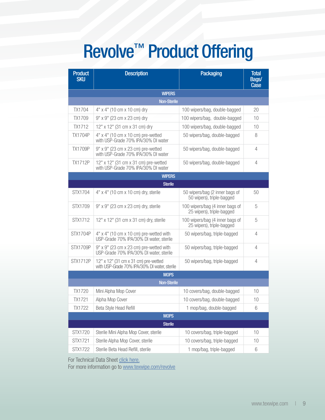### Revolve™ Product Offering

| <b>Product</b><br><b>SKU</b> | <b>Description</b>                                                                       | <b>Packaging</b>                                             | <b>Total</b><br>Bags/<br><b>Case</b> |  |  |
|------------------------------|------------------------------------------------------------------------------------------|--------------------------------------------------------------|--------------------------------------|--|--|
| <b>WIPERS</b>                |                                                                                          |                                                              |                                      |  |  |
| <b>Non-Sterile</b>           |                                                                                          |                                                              |                                      |  |  |
| <b>TX1704</b>                | $4''$ x $4''$ (10 cm x 10 cm) dry                                                        | 100 wipers/bag, double-bagged                                | 20                                   |  |  |
| <b>TX1709</b>                | 9" x 9" (23 cm x 23 cm) dry                                                              | 100 wipers/bag, double-bagged                                | 10                                   |  |  |
| <b>TX1712</b>                | 12" x 12" (31 cm x 31 cm) dry                                                            | 100 wipers/bag, double-bagged                                | 10                                   |  |  |
| <b>TX1704P</b>               | $4"$ x $4"$ (10 cm x 10 cm) pre-wetted<br>with USP-Grade 70% IPA/30% DI water            | 50 wipers/bag, double-bagged                                 | 8                                    |  |  |
| <b>TX1709P</b>               | 9" x 9" (23 cm x 23 cm) pre-wetted<br>with USP-Grade 70% IPA/30% DI water                | 50 wipers/bag, double-bagged                                 | 4                                    |  |  |
| <b>TX1712P</b>               | 12" x 12" (31 cm x 31 cm) pre-wetted<br>with USP-Grade 70% IPA/30% DI water              | 50 wipers/bag, double-bagged                                 | 4                                    |  |  |
| <b>WIPERS</b>                |                                                                                          |                                                              |                                      |  |  |
|                              | <b>Sterile</b>                                                                           |                                                              |                                      |  |  |
| STX1704                      | 4" x 4" (10 cm x 10 cm) dry, sterile                                                     | 50 wipers/bag (2 inner bags of<br>50 wipers), triple-bagged  | 50                                   |  |  |
| STX1709                      | 9" x 9" (23 cm x 23 cm) dry, sterile                                                     | 100 wipers/bag (4 inner bags of<br>25 wipers), triple-bagged | 5                                    |  |  |
| STX1712                      | 12" x 12" (31 cm x 31 cm) dry, sterile                                                   | 100 wipers/bag (4 inner bags of<br>25 wipers), triple-bagged | 5                                    |  |  |
| <b>STX1704P</b>              | $4"$ x $4"$ (10 cm x 10 cm) pre-wetted with<br>USP-Grade 70% IPA/30% DI water, sterile   | 50 wipers/bag, triple-bagged                                 | 4                                    |  |  |
| <b>STX1709P</b>              | $9''$ x $9''$ (23 cm x 23 cm) pre-wetted with<br>USP-Grade 70% IPA/30% DI water, sterile | 50 wipers/bag, triple-bagged                                 | 4                                    |  |  |
| <b>STX1712P</b>              | 12" x 12" (31 cm x 31 cm) pre-wetted<br>with USP-Grade 70% IPA/30% DI water, sterile     | 50 wipers/bag, triple-bagged                                 | $\overline{4}$                       |  |  |
| <b>MOPS</b>                  |                                                                                          |                                                              |                                      |  |  |
| <b>Non-Sterile</b>           |                                                                                          |                                                              |                                      |  |  |
| TX1720                       | Mini Alpha Mop Cover                                                                     | 10 covers/bag, double-bagged                                 | 10                                   |  |  |
| <b>TX1721</b>                | Alpha Mop Cover                                                                          | 10 covers/bag, double-bagged                                 | 10                                   |  |  |
| TX1722                       | Beta Style Head Refill                                                                   | 1 mop/bag, double-bagged                                     | 6                                    |  |  |
| <b>MOPS</b>                  |                                                                                          |                                                              |                                      |  |  |
| <b>Sterile</b>               |                                                                                          |                                                              |                                      |  |  |
| STX1720                      | Sterile Mini Alpha Mop Cover, sterile                                                    | 10 covers/bag, triple-bagged                                 | 10                                   |  |  |
| STX1721                      | Sterile Alpha Mop Cover, sterile                                                         | 10 covers/bag, triple-bagged                                 | 10                                   |  |  |
| STX1722                      | Sterile Beta Head Refill, sterile                                                        | 1 mop/bag, triple-bagged                                     | 6                                    |  |  |

For Technical Data Sheet click here.

For more information go to www.texwipe.com/revolve